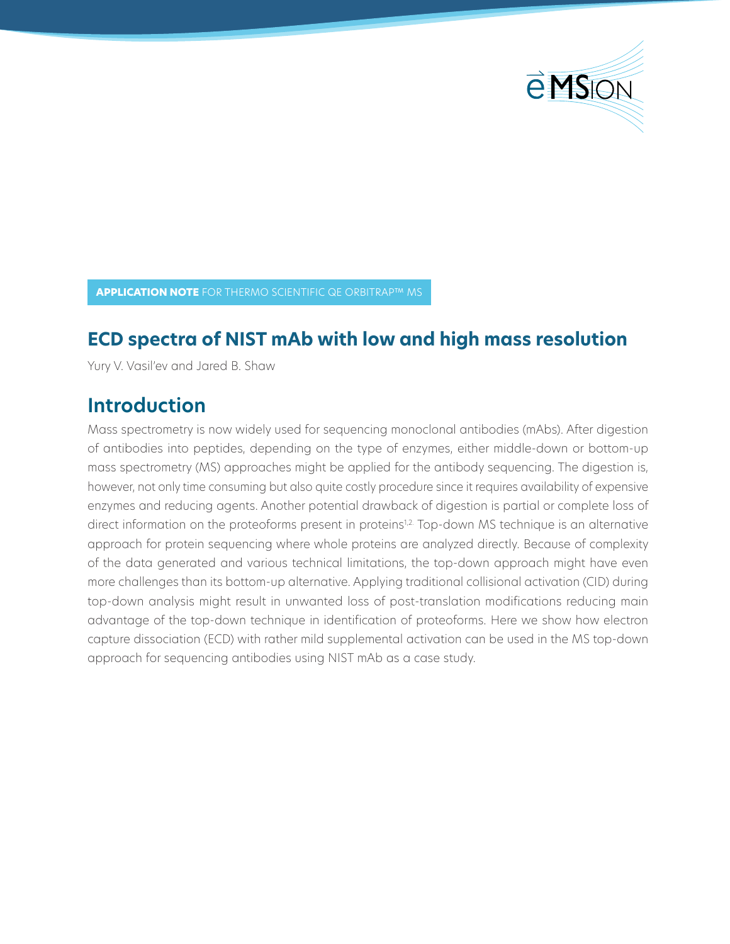

**APPLICATION NOTE** FOR THERMO SCIENTIFIC QE ORBITRAP™ MS

### **ECD spectra of NIST mAb with low and high mass resolution**

Yury V. Vasil'ev and Jared B. Shaw

# **Introduction**

Mass spectrometry is now widely used for sequencing monoclonal antibodies (mAbs). After digestion of antibodies into peptides, depending on the type of enzymes, either middle-down or bottom-up mass spectrometry (MS) approaches might be applied for the antibody sequencing. The digestion is, however, not only time consuming but also quite costly procedure since it requires availability of expensive enzymes and reducing agents. Another potential drawback of digestion is partial or complete loss of direct information on the proteoforms present in proteins<sup>1,2.</sup> Top-down MS technique is an alternative approach for protein sequencing where whole proteins are analyzed directly. Because of complexity of the data generated and various technical limitations, the top-down approach might have even more challenges than its bottom-up alternative. Applying traditional collisional activation (CID) during top-down analysis might result in unwanted loss of post-translation modifications reducing main advantage of the top-down technique in identification of proteoforms. Here we show how electron capture dissociation (ECD) with rather mild supplemental activation can be used in the MS top-down approach for sequencing antibodies using NIST mAb as a case study.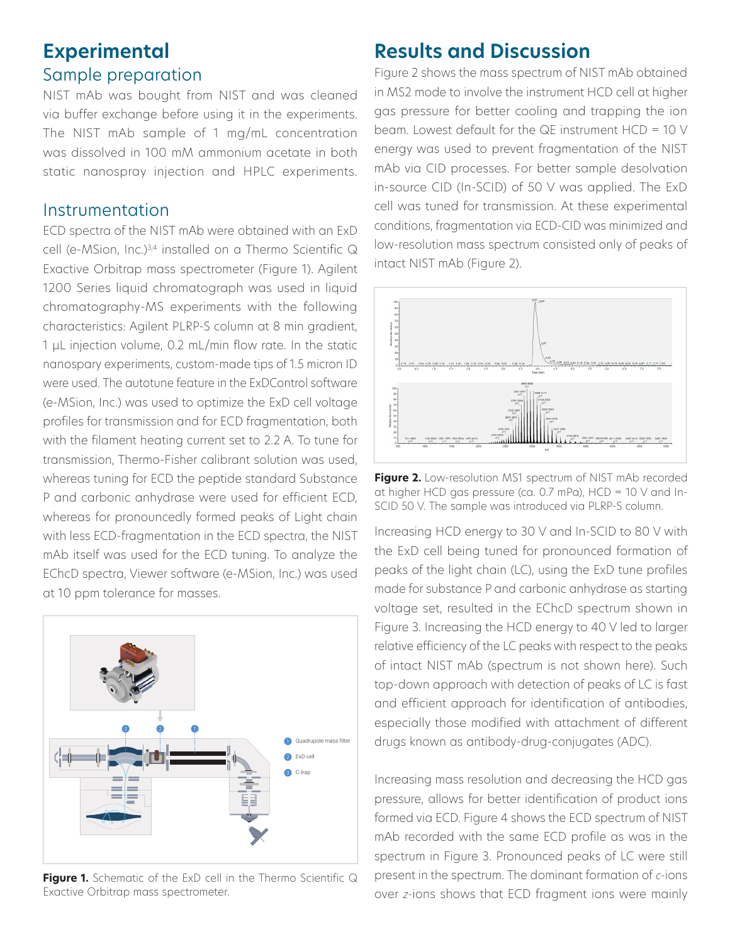### **Experimental** Sample preparation

NIST mAb was bought from NIST and was cleaned via buffer exchange before using it in the experiments. The NIST mAb sample of 1 mg/mL concentration was dissolved in 100 mM ammonium acetate in both static nanospray injection and HPLC experiments.

#### Instrumentation

ECD spectra of the NIST mAb were obtained with an ExD cell (e-MSion, Inc.)<sup>3,4</sup> installed on a Thermo Scientific Q Exactive Orbitrap mass spectrometer (Figure 1). Agilent 1200 Series liquid chromatograph was used in liquid chromatography-MS experiments with the following characteristics: Agilent PLRP-S column at 8 min gradient, 1 μL injection volume, 0.2 mL/min flow rate. In the static nanospary experiments, custom-made tips of 1.5 micron ID were used. The autotune feature in the ExDControl software (e-MSion, Inc.) was used to optimize the ExD cell voltage profiles for transmission and for ECD fragmentation, both with the filament heating current set to 2.2 A. To tune for transmission, Thermo-Fisher calibrant solution was used, whereas tuning for ECD the peptide standard Substance P and carbonic anhydrase were used for efficient ECD, whereas for pronouncedly formed peaks of Light chain with less ECD-fragmentation in the ECD spectra, the NIST mAb itself was used for the ECD tuning. To analyze the EChcD spectra, Viewer software (e-MSion, Inc.) was used at 10 ppm tolerance for masses.



**Figure 1.** Schematic of the ExD cell in the Thermo Scientific Q Exactive Orbitrap mass spectrometer.

# **Results and Discussion**

Figure 2 shows the mass spectrum of NIST mAb obtained in MS2 mode to involve the instrument HCD cell at higher gas pressure for better cooling and trapping the ion beam. Lowest default for the QE instrument HCD = 10 V energy was used to prevent fragmentation of the NIST mAb via CID processes. For better sample desolvation in-source CID (In-SCID) of 50 V was applied. The ExD cell was tuned for transmission. At these experimental conditions, fragmentation via ECD-CID was minimized and low-resolution mass spectrum consisted only of peaks of intact NIST mAb (Figure 2).



**Figure 2.** Low-resolution MS1 spectrum of NIST mAb recorded at higher HCD gas pressure (ca. 0.7 mPa), HCD = 10 V and In-SCID 50 V. The sample was introduced via PLRP-S column.

Increasing HCD energy to 30 V and In-SCID to 80 V with the ExD cell being tuned for pronounced formation of peaks of the light chain (LC), using the ExD tune profiles made for substance P and carbonic anhydrase as starting voltage set, resulted in the EChcD spectrum shown in Figure 3. Increasing the HCD energy to 40 V led to larger relative efficiency of the LC peaks with respect to the peaks of intact NIST mAb (spectrum is not shown here). Such top-down approach with detection of peaks of LC is fast and efficient approach for identification of antibodies, especially those modified with attachment of different drugs known as antibody-drug-conjugates (ADC).

Increasing mass resolution and decreasing the HCD gas pressure, allows for better identification of product ions formed via ECD. Figure 4 shows the ECD spectrum of NIST mAb recorded with the same ECD profile as was in the spectrum in Figure 3. Pronounced peaks of LC were still present in the spectrum. The dominant formation of *c*-ions over *z*-ions shows that ECD fragment ions were mainly